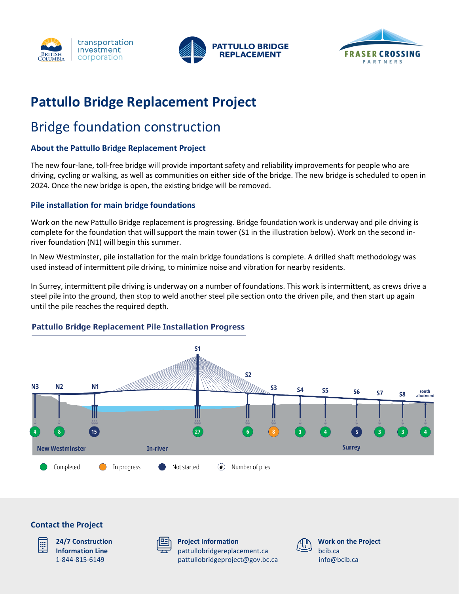





# **Pattullo Bridge Replacement Project**

# Bridge foundation construction

## **About the Pattullo Bridge Replacement Project**

The new four-lane, toll-free bridge will provide important safety and reliability improvements for people who are driving, cycling or walking, as well as communities on either side of the bridge. The new bridge is scheduled to open in 2024. Once the new bridge is open, the existing bridge will be removed.

### **Pile installation for main bridge foundations**

Work on the new Pattullo Bridge replacement is progressing. Bridge foundation work is underway and pile driving is complete for the foundation that will support the main tower (S1 in the illustration below). Work on the second inriver foundation (N1) will begin this summer.

In New Westminster, pile installation for the main bridge foundations is complete. A drilled shaft methodology was used instead of intermittent pile driving, to minimize noise and vibration for nearby residents.

In Surrey, intermittent pile driving is underway on a number of foundations. This work is intermittent, as crews drive a steel pile into the ground, then stop to weld another steel pile section onto the driven pile, and then start up again until the pile reaches the required depth.

### **Pattullo Bridge Replacement Pile Installation Progress**



### **Contact the Project**



**24/7 Construction Information Line** 1-844-815-6149



**Project Information** pattullobridgereplacement.ca [pattullobridgeproject@gov.bc.ca](mailto:pattullobridgeproject@gov.bc.ca)



**Work on the Project** bcib.ca [info@bcib.ca](mailto:info@bcib.ca)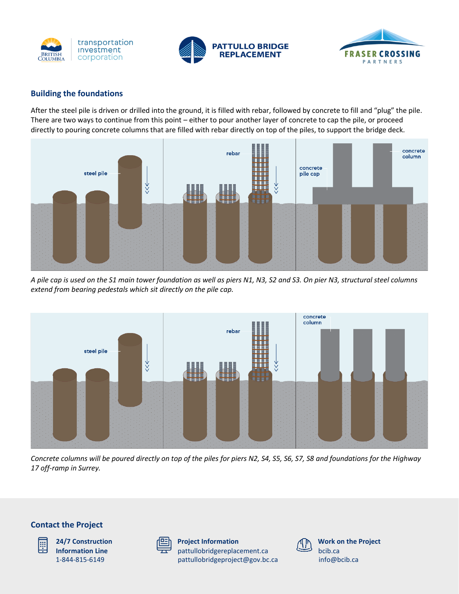





#### **Building the foundations**

After the steel pile is driven or drilled into the ground, it is filled with rebar, followed by concrete to fill and "plug" the pile. There are two ways to continue from this point – either to pour another layer of concrete to cap the pile, or proceed directly to pouring concrete columns that are filled with rebar directly on top of the piles, to support the bridge deck.



*A pile cap is used on the S1 main tower foundation as well as piers N1, N3, S2 and S3. On pier N3, structural steel columns extend from bearing pedestals which sit directly on the pile cap.*



*Concrete columns will be poured directly on top of the piles for piers N2, S4, S5, S6, S7, S8 and foundations for the Highway 17 off-ramp in Surrey.*





**24/7 Construction Information Line** 1-844-815-6149

| _ | 33 |
|---|----|
|   |    |

**Project Information** pattullobridgereplacement.ca [pattullobridgeproject@gov.bc.ca](mailto:pattullobridgeproject@gov.bc.ca)



**Work on the Project** bcib.ca [info@bcib.ca](mailto:info@bcib.ca)